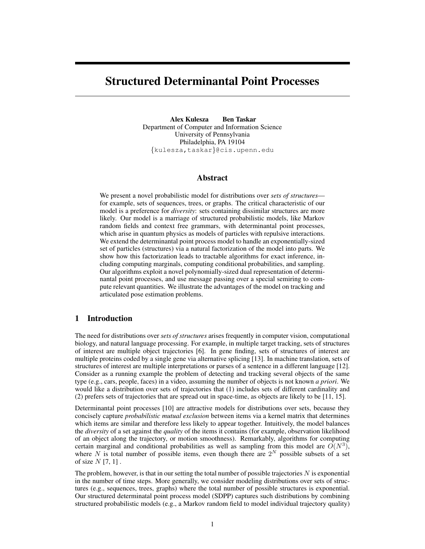# Structured Determinantal Point Processes

Alex Kulesza Ben Taskar Department of Computer and Information Science University of Pennsylvania Philadelphia, PA 19104 {kulesza,taskar}@cis.upenn.edu

## Abstract

We present a novel probabilistic model for distributions over *sets of structures* for example, sets of sequences, trees, or graphs. The critical characteristic of our model is a preference for *diversity*: sets containing dissimilar structures are more likely. Our model is a marriage of structured probabilistic models, like Markov random fields and context free grammars, with determinantal point processes, which arise in quantum physics as models of particles with repulsive interactions. We extend the determinantal point process model to handle an exponentially-sized set of particles (structures) via a natural factorization of the model into parts. We show how this factorization leads to tractable algorithms for exact inference, including computing marginals, computing conditional probabilities, and sampling. Our algorithms exploit a novel polynomially-sized dual representation of determinantal point processes, and use message passing over a special semiring to compute relevant quantities. We illustrate the advantages of the model on tracking and articulated pose estimation problems.

## 1 Introduction

The need for distributions over *sets of structures* arises frequently in computer vision, computational biology, and natural language processing. For example, in multiple target tracking, sets of structures of interest are multiple object trajectories [6]. In gene finding, sets of structures of interest are multiple proteins coded by a single gene via alternative splicing [13]. In machine translation, sets of structures of interest are multiple interpretations or parses of a sentence in a different language [12]. Consider as a running example the problem of detecting and tracking several objects of the same type (e.g., cars, people, faces) in a video, assuming the number of objects is not known *a priori*. We would like a distribution over sets of trajectories that (1) includes sets of different cardinality and (2) prefers sets of trajectories that are spread out in space-time, as objects are likely to be [11, 15].

Determinantal point processes [10] are attractive models for distributions over sets, because they concisely capture *probabilistic mutual exclusion* between items via a kernel matrix that determines which items are similar and therefore less likely to appear together. Intuitively, the model balances the *diversity* of a set against the *quality* of the items it contains (for example, observation likelihood of an object along the trajectory, or motion smoothness). Remarkably, algorithms for computing certain marginal and conditional probabilities as well as sampling from this model are  $O(N^3)$ , where N is total number of possible items, even though there are  $2^N$  possible subsets of a set of size  $N$  [7, 1].

The problem, however, is that in our setting the total number of possible trajectories  $N$  is exponential in the number of time steps. More generally, we consider modeling distributions over sets of structures (e.g., sequences, trees, graphs) where the total number of possible structures is exponential. Our structured determinatal point process model (SDPP) captures such distributions by combining structured probabilistic models (e.g., a Markov random field to model individual trajectory quality)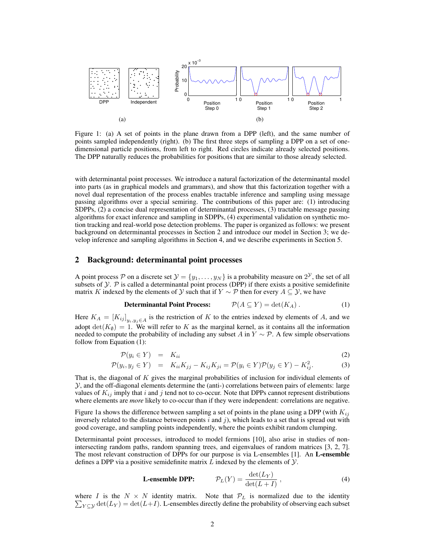

Figure 1: (a) A set of points in the plane drawn from a DPP (left), and the same number of points sampled independently (right). (b) The first three steps of sampling a DPP on a set of onedimensional particle positions, from left to right. Red circles indicate already selected positions. The DPP naturally reduces the probabilities for positions that are similar to those already selected.

with determinantal point processes. We introduce a natural factorization of the determinantal model into parts (as in graphical models and grammars), and show that this factorization together with a novel dual representation of the process enables tractable inference and sampling using message passing algorithms over a special semiring. The contributions of this paper are: (1) introducing SDPPs, (2) a concise dual representation of determinantal processes, (3) tractable message passing algorithms for exact inference and sampling in SDPPs, (4) experimental validation on synthetic motion tracking and real-world pose detection problems. The paper is organized as follows: we present background on determinantal processes in Section 2 and introduce our model in Section 3; we develop inference and sampling algorithms in Section 4, and we describe experiments in Section 5.

## 2 Background: determinantal point processes

A point process P on a discrete set  $\mathcal{Y} = \{y_1, \ldots, y_N\}$  is a probability measure on  $2^{\mathcal{Y}}$ , the set of all subsets of  $\mathcal Y$ . P is called a determinantal point process (DPP) if there exists a positive semidefinite matrix K indexed by the elements of  $\mathcal Y$  such that if  $Y \sim \mathcal P$  then for every  $A \subseteq \mathcal Y$ , we have

**Determinantal Point Process:** 
$$
\mathcal{P}(A \subseteq Y) = \det(K_A).
$$
 (1)

Here  $K_A = [K_{ij}]_{y_i, y_j \in A}$  is the restriction of K to the entries indexed by elements of A, and we adopt  $\det(K_{\emptyset}) = 1$ . We will refer to K as the marginal kernel, as it contains all the information needed to compute the probability of including any subset A in  $Y \sim \mathcal{P}$ . A few simple observations follow from Equation (1):

$$
\mathcal{P}(y_i \in Y) = K_{ii} \tag{2}
$$

$$
\mathcal{P}(y_i, y_j \in Y) = K_{ii}K_{jj} - K_{ij}K_{ji} = \mathcal{P}(y_i \in Y)\mathcal{P}(y_j \in Y) - K_{ij}^2.
$$
 (3)

That is, the diagonal of  $K$  gives the marginal probabilities of inclusion for individual elements of  $Y$ , and the off-diagonal elements determine the (anti-) correlations between pairs of elements: large values of  $K_{ij}$  imply that i and j tend not to co-occur. Note that DPPs cannot represent distributions where elements are *more* likely to co-occur than if they were independent: correlations are negative.

Figure 1a shows the difference between sampling a set of points in the plane using a DPP (with  $K_{ij}$ ) inversely related to the distance between points i and j), which leads to a set that is spread out with good coverage, and sampling points independently, where the points exhibit random clumping.

Determinantal point processes, introduced to model fermions [10], also arise in studies of nonintersecting random paths, random spanning trees, and eigenvalues of random matrices [3, 2, 7]. The most relevant construction of DPPs for our purpose is via L-ensembles [1]. An L-ensemble defines a DPP via a positive semidefinite matrix  $L$  indexed by the elements of  $\mathcal{Y}$ .

**L-ensemble DPP:** 
$$
\mathcal{P}_L(Y) = \frac{\det(L_Y)}{\det(L+I)},
$$
 (4)

 $\sum_{Y \subseteq \mathcal{Y}} \det(L_Y) = \det(L+I)$ . L-ensembles directly define the probability of observing each subset where I is the  $N \times N$  identity matrix. Note that  $P_L$  is normalized due to the identity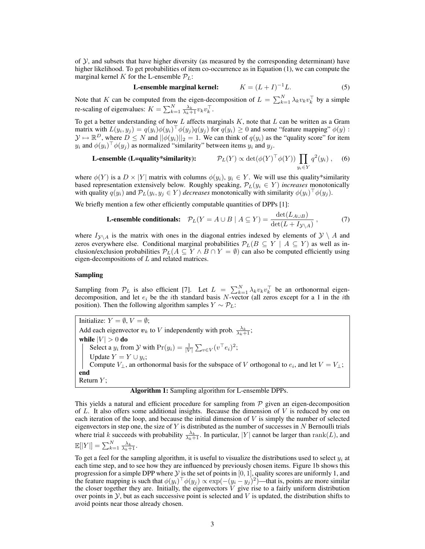of  $Y$ , and subsets that have higher diversity (as measured by the corresponding determinant) have higher likelihood. To get probabilities of item co-occurrence as in Equation (1), we can compute the marginal kernel K for the L-ensemble  $\mathcal{P}_L$ :

**L-ensemble marginal Kernel:** 
$$
K = (L + I)^{-1}L
$$
. (5)

Note that K can be computed from the eigen-decomposition of  $L = \sum_{k=1}^{N} \lambda_k v_k v_k^{\top}$  by a simple re-scaling of eigenvalues:  $K = \sum_{k=1}^{N} \frac{\lambda_k}{\lambda_k + 1} v_k v_k^{\top}$ .

To get a better understanding of how  $L$  affects marginals  $K$ , note that  $L$  can be written as a Gram matrix with  $L(y_i, y_j) = q(y_i) \phi(y_i)^\top \phi(y_j) q(y_j)$  for  $q(y_i) \ge 0$  and some "feature mapping"  $\phi(y)$ :  $\mathcal{Y} \mapsto \mathbb{R}^D$ , where  $D \leq N$  and  $||\phi(y_i)||_2 = 1$ . We can think of  $q(y_i)$  as the "quality score" for item  $y_i$  and  $\phi(y_i)^\top \phi(y_j)$  as normalized "similarity" between items  $y_i$  and  $y_j$ .

**L-ensemble (L=quality\*similarity):** 
$$
\mathcal{P}_L(Y) \propto \det(\phi(Y)^{\top} \phi(Y)) \prod_{y_i \in Y} q^2(y_i)
$$
, (6)

where  $\phi(Y)$  is a  $D \times |Y|$  matrix with columns  $\phi(y_i)$ ,  $y_i \in Y$ . We will use this quality\*similarity based representation extensively below. Roughly speaking,  $\mathcal{P}_L(y_i \in Y)$  *increases* monotonically with quality  $q(y_i)$  and  $\mathcal{P}_L(y_i, y_j \in Y)$  *decreases* monotonically with similarity  $\phi(y_i)^\top \phi(y_j)$ .

We briefly mention a few other efficiently computable quantities of DPPs [1]:

**L-ensemble conditionals:** 
$$
\mathcal{P}_L(Y = A \cup B \mid A \subseteq Y) = \frac{\det(L_{A \cup B})}{\det(L + I_{\mathcal{Y} \setminus A})}
$$
, (7)

where  $I_{\mathcal{Y}\setminus A}$  is the matrix with ones in the diagonal entries indexed by elements of  $\mathcal{Y}\setminus A$  and zeros everywhere else. Conditional marginal probabilities  $\mathcal{P}_L(B \subseteq Y \mid A \subseteq Y)$  as well as inclusion/exclusion probabilities  $\mathcal{P}_L(A \subseteq Y \wedge B \cap Y = \emptyset)$  can also be computed efficiently using eigen-decompositions of L and related matrices.

#### Sampling

Sampling from  $P_L$  is also efficient [7]. Let  $L = \sum_{k=1}^{N} \lambda_k v_k v_k^{\top}$  be an orthonormal eigendecomposition, and let  $e_i$  be the *i*th standard basis N-vector (all zeros except for a 1 in the *i*th position). Then the following algorithm samples  $Y \sim \mathcal{P}_L$ :

Initialize:  $Y = \emptyset$ ,  $V = \emptyset$ ; Add each eigenvector  $v_k$  to V independently with prob.  $\frac{\lambda_k}{\lambda_k+1}$ ; while  $|V| > 0$  do Select a  $y_i$  from  $\mathcal Y$  with  $Pr(y_i) = \frac{1}{|V|} \sum_{v \in V} (v^\top e_i)^2;$ Update  $Y = Y \cup y_i$ ; Compute  $V_{\perp}$ , an orthonormal basis for the subspace of V orthogonal to  $e_i$ , and let  $V = V_{\perp}$ ; end Return  $Y$ ;

## Algorithm 1: Sampling algorithm for L-ensemble DPPs.

This yields a natural and efficient procedure for sampling from  $P$  given an eigen-decomposition of L. It also offers some additional insights. Because the dimension of  $V$  is reduced by one on each iteration of the loop, and because the initial dimension of  $V$  is simply the number of selected eigenvectors in step one, the size of Y is distributed as the number of successes in  $N$  Bernoulli trials where trial k succeeds with probability  $\frac{\lambda_k}{\lambda_k+1}$ . In particular, |Y| cannot be larger than rank(L), and  $\mathbb{E}[|Y|] = \sum_{k=1}^{N} \frac{\lambda_k}{\lambda_k + 1}.$ 

To get a feel for the sampling algorithm, it is useful to visualize the distributions used to select  $y_i$  at each time step, and to see how they are influenced by previously chosen items. Figure 1b shows this progression for a simple DPP where  $\mathcal Y$  is the set of points in [0, 1], quality scores are uniformly 1, and the feature mapping is such that  $\phi(y_i)^\top \phi(y_j) \propto \exp(-(y_i - y_j)^2)$ —that is, points are more similar the closer together they are. Initially, the eigenvectors  $V$  give rise to a fairly uniform distribution over points in  $\mathcal Y$ , but as each successive point is selected and  $V$  is updated, the distribution shifts to avoid points near those already chosen.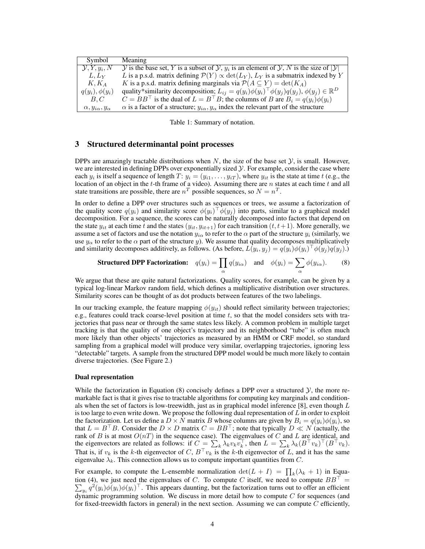| Symbol                            | <b>Meaning</b>                                                                                                     |
|-----------------------------------|--------------------------------------------------------------------------------------------------------------------|
| $\mathcal{Y}, Y, y_i, N$          | y is the base set, Y is a subset of y, $y_i$ is an element of y, N is the size of $ y $                            |
| $L, L_V$                          | L is a p.s.d. matrix defining $\mathcal{P}(Y) \propto \det(L_Y)$ , $L_Y$ is a submatrix indexed by Y               |
| $K, K_A$                          | K is a p.s.d. matrix defining marginals via $P(A \subseteq Y) = \det(K_A)$                                         |
| $q(y_i), \phi(y_i)$               | quality*similarity decomposition; $L_{ij} = q(y_i) \phi(y_i)^\top \phi(y_i) q(y_i)$ , $\phi(y_i) \in \mathbb{R}^D$ |
| B.C                               | $C = BB^{\top}$ is the dual of $L = B^{\top}B$ ; the columns of B are $B_i = q(y_i)\phi(y_i)$                      |
| $\alpha, y_{i\alpha}, y_{\alpha}$ | $\alpha$ is a factor of a structure; $y_{i\alpha}, y_{\alpha}$ index the relevant part of the structure            |

Table 1: Summary of notation.

## 3 Structured determinantal point processes

DPPs are amazingly tractable distributions when N, the size of the base set  $\mathcal{Y}$ , is small. However, we are interested in defining DPPs over exponentially sized  $\mathcal Y$ . For example, consider the case where each  $y_i$  is itself a sequence of length  $T: y_i = (y_{i1}, \ldots, y_{iT})$ , where  $y_{it}$  is the state at time t (e.g., the location of an object in the t-th frame of a video). Assuming there are  $n$  states at each time  $t$  and all state transitions are possible, there are  $n^T$  possible sequences, so  $N = n^T$ .

In order to define a DPP over structures such as sequences or trees, we assume a factorization of the quality score  $q(y_i)$  and similarity score  $\phi(y_i)^\top \phi(y_j)$  into parts, similar to a graphical model decomposition. For a sequence, the scores can be naturally decomposed into factors that depend on the state  $y_{it}$  at each time t and the states  $(y_{it}, y_{it+1})$  for each transition  $(t, t+1)$ . More generally, we assume a set of factors and use the notation  $y_{i\alpha}$  to refer to the  $\alpha$  part of the structure  $y_i$  (similarly, we use  $y_\alpha$  to refer to the  $\alpha$  part of the structure y). We assume that quality decomposes multiplicatively and similarity decomposes additively, as follows. (As before,  $L(y_i, y_j) = q(y_i) \phi(y_i)^\top \phi(y_j) q(y_j)$ .)

**Structured DPP Factorization:** 
$$
q(y_i) = \prod_{\alpha} q(y_{i\alpha})
$$
 and  $\phi(y_i) = \sum_{\alpha} \phi(y_{i\alpha})$ . (8)

We argue that these are quite natural factorizations. Quality scores, for example, can be given by a typical log-linear Markov random field, which defines a multiplicative distribution over structures. Similarity scores can be thought of as dot products between features of the two labelings.

In our tracking example, the feature mapping  $\phi(y_{it})$  should reflect similarity between trajectories; e.g., features could track coarse-level position at time t, so that the model considers sets with trajectories that pass near or through the same states less likely. A common problem in multiple target tracking is that the quality of one object's trajectory and its neighborhood "tube" is often much more likely than other objects' trajectories as measured by an HMM or CRF model, so standard sampling from a graphical model will produce very similar, overlapping trajectories, ignoring less "detectable" targets. A sample from the structured DPP model would be much more likely to contain diverse trajectories. (See Figure 2.)

#### Dual representation

While the factorization in Equation (8) concisely defines a DPP over a structured  $\mathcal{Y}$ , the more remarkable fact is that it gives rise to tractable algorithms for computing key marginals and conditionals when the set of factors is low-treewidth, just as in graphical model inference [8], even though  $L$ is too large to even write down. We propose the following dual representation of  $L$  in order to exploit the factorization. Let us define a  $D \times N$  matrix B whose columns are given by  $B_i = q(y_i)\phi(y_i)$ , so that  $L = B^{\top}B$ . Consider the  $D \times D$  matrix  $C = BB^{\top}$ ; note that typically  $D \ll N$  (actually, the rank of B is at most  $O(nT)$  in the sequence case). The eigenvalues of C and L are identical, and the eigenvectors are related as follows: if  $C = \sum_k \lambda_k v_k v_k^{\top}$ , then  $L = \sum_k \lambda_k (B^{\top} v_k)^{\top} (B^{\top} v_k)$ . That is, if  $v_k$  is the k-th eigenvector of C,  $B^\top v_k$  is the k-th eigenvector of L, and it has the same eigenvalue  $\lambda_k$ . This connection allows us to compute important quantities from C.

For example, to compute the L-ensemble normalization  $\det(L + I) = \prod_k (\lambda_k + 1)$  in Equa-P tion (4), we just need the eigenvalues of C. To compute C itself, we need to compute  $BB^{\top} =$  $y_i q^2(y_i) \phi(y_i) \phi(y_i)^\top$ . This appears daunting, but the factorization turns out to offer an efficient dynamic programming solution. We discuss in more detail how to compute  $C$  for sequences (and for fixed-treewidth factors in general) in the next section. Assuming we can compute  $\tilde{C}$  efficiently,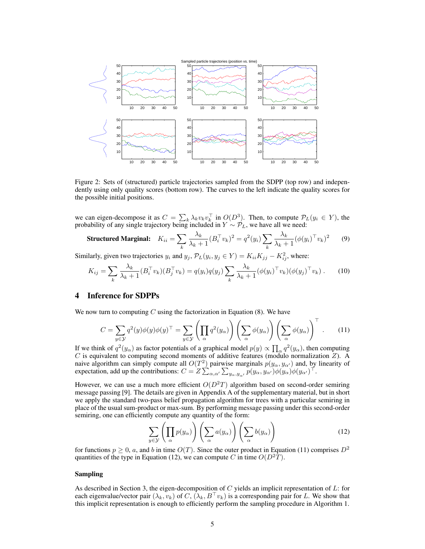

Figure 2: Sets of (structured) particle trajectories sampled from the SDPP (top row) and independently using only quality scores (bottom row). The curves to the left indicate the quality scores for the possible initial positions.

we can eigen-decompose it as  $C = \sum_k \lambda_k v_k v_k^{\top}$  in  $O(D^3)$ . Then, to compute  $\mathcal{P}_L(y_i \in Y)$ , the probability of any single trajectory being included in  $Y \sim \mathcal{P}_L$ , we have all we need:

**Structured Marginal:** 
$$
K_{ii} = \sum_{k} \frac{\lambda_k}{\lambda_k + 1} (B_i^{\top} v_k)^2 = q^2(y_i) \sum_{k} \frac{\lambda_k}{\lambda_k + 1} (\phi(y_i)^{\top} v_k)^2
$$
 (9)

Similarly, given two trajectories  $y_i$  and  $y_j$ ,  $\mathcal{P}_L(y_i, y_j \in Y) = K_{ii}K_{jj} - K_{ij}^2$ , where:

$$
K_{ij} = \sum_{k} \frac{\lambda_k}{\lambda_k + 1} (B_i^{\top} v_k)(B_j^{\top} v_k) = q(y_i)q(y_j) \sum_{k} \frac{\lambda_k}{\lambda_k + 1} (\phi(y_i)^{\top} v_k)(\phi(y_j)^{\top} v_k).
$$
 (10)

## 4 Inference for SDPPs

We now turn to computing  $C$  using the factorization in Equation (8). We have

$$
C = \sum_{y \in \mathcal{Y}} q^2(y) \phi(y) \phi(y)^\top = \sum_{y \in \mathcal{Y}} \left( \prod_{\alpha} q^2(y_\alpha) \right) \left( \sum_{\alpha} \phi(y_\alpha) \right) \left( \sum_{\alpha} \phi(y_\alpha) \right)^\top. \tag{11}
$$

If we think of  $q^2(y_\alpha)$  as factor potentials of a graphical model  $p(y) \propto \prod_\alpha q^2(y_\alpha)$ , then computing  $C$  is equivalent to computing second moments of additive features (modulo normalization  $Z$ ). A naive algorithm can simply compute all  $O(T^2)$  pairwise marginals  $p(y_\alpha, y_{\alpha'})$  and, by linearity of expectation, add up the contributions:  $C = Z \sum_{\alpha,\alpha'}^{\bullet} \sum_{y_\alpha,y_{\alpha'}} p(y_\alpha, y_{\alpha'}) \phi(y_\alpha) \phi(y_{\alpha'})^\top$ .

However, we can use a much more efficient  $O(D<sup>2</sup>T)$  algorithm based on second-order semiring message passing [9]. The details are given in Appendix A of the supplementary material, but in short we apply the standard two-pass belief propagation algorithm for trees with a particular semiring in place of the usual sum-product or max-sum. By performing message passing under this second-order semiring, one can efficiently compute any quantity of the form:

$$
\sum_{y \in \mathcal{Y}} \left( \prod_{\alpha} p(y_{\alpha}) \right) \left( \sum_{\alpha} a(y_{\alpha}) \right) \left( \sum_{\alpha} b(y_{\alpha}) \right) \tag{12}
$$

 $\sim$ 

for functions  $p \ge 0$ , a, and b in time  $O(T)$ . Since the outer product in Equation (11) comprises  $D^2$ quantities of the type in Equation (12), we can compute C in time  $O(D^2T)$ .

#### Sampling

As described in Section 3, the eigen-decomposition of C yields an implicit representation of L: for each eigenvalue/vector pair  $(\lambda_k, v_k)$  of C,  $(\lambda_k, B^{\top}v_k)$  is a corresponding pair for L. We show that this implicit representation is enough to efficiently perform the sampling procedure in Algorithm 1.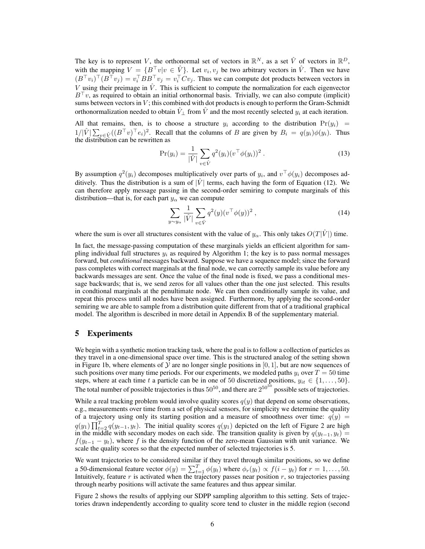The key is to represent V, the orthonormal set of vectors in  $\mathbb{R}^N$ , as a set  $\hat{V}$  of vectors in  $\mathbb{R}^D$ , with the mapping  $V = \{B^\top v | v \in \hat{V}\}\$ . Let  $v_i, v_j$  be two arbitrary vectors in  $\hat{V}$ . Then we have  $(B^{\top}v_i)^{\top} (B^{\top}v_j) = v_i^{\top} BB^{\top}v_j = v_i^{\top} Cv_j$ . Thus we can compute dot products between vectors in V using their preimage in  $\hat{V}$ . This is sufficient to compute the normalization for each eigenvector  $B^{\top}v$ , as required to obtain an initial orthonormal basis. Trivially, we can also compute (implicit) sums between vectors in  $V$ ; this combined with dot products is enough to perform the Gram-Schmidt orthonormalization needed to obtain  $\hat{V}_\perp$  from  $\hat{V}$  and the most recently selected  $y_i$  at each iteration.

All that remains, then, is to choose a structure  $y_i$  according to the distribution  $Pr(y_i)$  =  $1/|\hat{V}| \sum_{v \in \hat{V}} ((B^{\top}v)^{\top} e_i)^2$ . Recall that the columns of B are given by  $B_i = q(y_i) \phi(y_i)$ . Thus the distribution can be rewritten as

$$
\Pr(y_i) = \frac{1}{|\hat{V}|} \sum_{v \in \hat{V}} q^2(y_i) (v^\top \phi(y_i))^2.
$$
 (13)

By assumption  $q^2(y_i)$  decomposes multiplicatively over parts of  $y_i$ , and  $v^{\top} \phi(y_i)$  decomposes additively. Thus the distribution is a sum of  $|\hat{V}|$  terms, each having the form of Equation (12). We can therefore apply message passing in the second-order semiring to compute marginals of this distribution—that is, for each part  $y_\alpha$  we can compute

$$
\sum_{y \sim y_{\alpha}} \frac{1}{|\hat{V}|} \sum_{v \in \hat{V}} q^2(y) (v^\top \phi(y))^2 , \qquad (14)
$$

where the sum is over all structures consistent with the value of  $y_\alpha$ . This only takes  $O(T|\hat{V})$  time.

In fact, the message-passing computation of these marginals yields an efficient algorithm for sampling individual full structures  $y_i$  as required by Algorithm 1; the key is to pass normal messages forward, but *conditional* messages backward. Suppose we have a sequence model; since the forward pass completes with correct marginals at the final node, we can correctly sample its value before any backwards messages are sent. Once the value of the final node is fixed, we pass a conditional message backwards; that is, we send zeros for all values other than the one just selected. This results in condtional marginals at the penultimate node. We can then conditionally sample its value, and repeat this process until all nodes have been assigned. Furthermore, by applying the second-order semiring we are able to sample from a distribution quite different from that of a traditional graphical model. The algorithm is described in more detail in Appendix B of the supplementary material.

## 5 Experiments

We begin with a synthetic motion tracking task, where the goal is to follow a collection of particles as they travel in a one-dimensional space over time. This is the structured analog of the setting shown in Figure 1b, where elements of  $Y$  are no longer single positions in [0, 1], but are now sequences of such positions over many time periods. For our experiments, we modeled paths  $y_i$  over  $T = 50$  time steps, where at each time t a particle can be in one of 50 discretized positions,  $y_{it} \in \{1, \ldots, 50\}$ . The total number of possible trajectories is thus  $50^{50}$ , and there are  $2^{50^{50}}$  possible sets of trajectories.

While a real tracking problem would involve quality scores  $q(y)$  that depend on some observations, e.g., measurements over time from a set of physical sensors, for simplicity we determine the quality of a trajectory using only its starting position and a measure of smoothness over time:  $q(y)$  =  $q(y_1)$   $\prod_{t=2}^{T} q(y_{t-1}, y_t)$ . The initial quality scores  $q(y_1)$  depicted on the left of Figure 2 are high in the middle with secondary modes on each side. The transition quality is given by  $q(y_{t-1}, y_t) =$  $f(y_{t-1} - y_t)$ , where f is the density function of the zero-mean Gaussian with unit variance. We scale the quality scores so that the expected number of selected trajectories is 5.

We want trajectories to be considered similar if they travel through similar positions, so we define a 50-dimensional feature vector  $\phi(y) = \sum_{t=1}^{T} \phi(y_t)$  where  $\phi_r(y_t) \propto f(i - y_t)$  for  $r = 1, ..., 50$ . Intuitively, feature  $r$  is activated when the trajectory passes near position  $r$ , so trajectories passing through nearby positions will activate the same features and thus appear similar.

Figure 2 shows the results of applying our SDPP sampling algorithm to this setting. Sets of trajectories drawn independently according to quality score tend to cluster in the middle region (second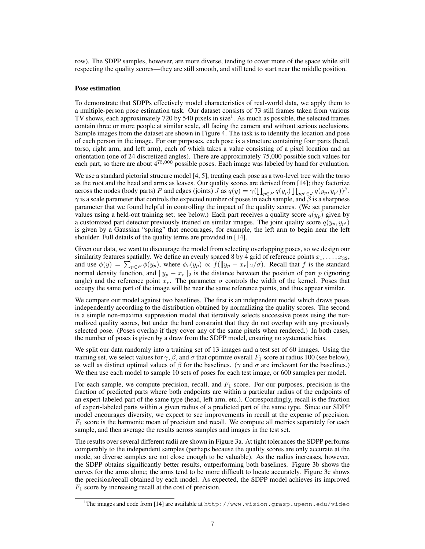row). The SDPP samples, however, are more diverse, tending to cover more of the space while still respecting the quality scores—they are still smooth, and still tend to start near the middle position.

#### Pose estimation

To demonstrate that SDPPs effectively model characteristics of real-world data, we apply them to a multiple-person pose estimation task. Our dataset consists of 73 still frames taken from various TV shows, each approximately 720 by 540 pixels in size<sup>1</sup>. As much as possible, the selected frames contain three or more people at similar scale, all facing the camera and without serious occlusions. Sample images from the dataset are shown in Figure 4. The task is to identify the location and pose of each person in the image. For our purposes, each pose is a structure containing four parts (head, torso, right arm, and left arm), each of which takes a value consisting of a pixel location and an orientation (one of 24 discretized angles). There are approximately 75,000 possible such values for each part, so there are about  $4^{75,000}$  possible poses. Each image was labeled by hand for evaluation.

We use a standard pictorial strucure model [4, 5], treating each pose as a two-level tree with the torso as the root and the head and arms as leaves. Our quality scores are derived from [14]; they factorize across the nodes (body parts) P and edges (joints) J as  $q(y) = \gamma \left( \prod_{p \in P} q(y_p) \prod_{pp' \in J} q(y_p, y_{p'}) \right)^{\beta}$ .  $\gamma$  is a scale parameter that controls the expected number of poses in each sample, and  $\beta$  is a sharpness parameter that we found helpful in controlling the impact of the quality scores. (We set parameter values using a held-out training set; see below.) Each part receives a quality score  $q(y_p)$  given by a customized part detector previously trained on similar images. The joint quality score  $q(y_p, y_{p'})$ is given by a Gaussian "spring" that encourages, for example, the left arm to begin near the left shoulder. Full details of the quality terms are provided in [14].

Given our data, we want to discourage the model from selecting overlapping poses, so we design our similarity features spatially. We define an evenly spaced 8 by 4 grid of reference points  $x_1, \ldots, x_{32}$ , and use  $\phi(y) = \sum_{p \in P} \phi(y_p)$ , where  $\phi_r(y_p) \propto f(||y_p - x_r||_2/\sigma)$ . Recall that f is the standard normal density function, and  $||y_p - x_r||_2$  is the distance between the position of part p (ignoring angle) and the reference point  $x_r$ . The parameter  $\sigma$  controls the width of the kernel. Poses that occupy the same part of the image will be near the same reference points, and thus appear similar.

We compare our model against two baselines. The first is an independent model which draws poses independently according to the distribution obtained by normalizing the quality scores. The second is a simple non-maxima suppression model that iteratively selects successive poses using the normalized quality scores, but under the hard constraint that they do not overlap with any previously selected pose. (Poses overlap if they cover any of the same pixels when rendered.) In both cases, the number of poses is given by a draw from the SDPP model, ensuring no systematic bias.

We split our data randomly into a training set of 13 images and a test set of 60 images. Using the training set, we select values for  $\gamma$ ,  $\beta$ , and  $\sigma$  that optimize overall  $F_1$  score at radius 100 (see below), as well as distinct optimal values of  $\beta$  for the baselines. ( $\gamma$  and  $\sigma$  are irrelevant for the baselines.) We then use each model to sample 10 sets of poses for each test image, or 600 samples per model.

For each sample, we compute precision, recall, and  $F_1$  score. For our purposes, precision is the fraction of predicted parts where both endpoints are within a particular radius of the endpoints of an expert-labeled part of the same type (head, left arm, etc.). Correspondingly, recall is the fraction of expert-labeled parts within a given radius of a predicted part of the same type. Since our SDPP model encourages diversity, we expect to see improvements in recall at the expense of precision.  $F_1$  score is the harmonic mean of precision and recall. We compute all metrics separately for each sample, and then average the results across samples and images in the test set.

The results over several different radii are shown in Figure 3a. At tight tolerances the SDPP performs comparably to the independent samples (perhaps because the quality scores are only accurate at the mode, so diverse samples are not close enough to be valuable). As the radius increases, however, the SDPP obtains significantly better results, outperforming both baselines. Figure 3b shows the curves for the arms alone; the arms tend to be more difficult to locate accurately. Figure 3c shows the precision/recall obtained by each model. As expected, the SDPP model achieves its improved  $F_1$  score by increasing recall at the cost of precision.

<sup>&</sup>lt;sup>1</sup>The images and code from [14] are available at http://www.vision.grasp.upenn.edu/video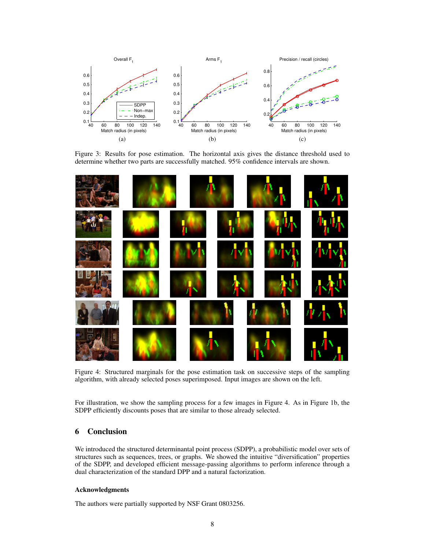

Figure 3: Results for pose estimation. The horizontal axis gives the distance threshold used to determine whether two parts are successfully matched. 95% confidence intervals are shown.



Figure 4: Structured marginals for the pose estimation task on successive steps of the sampling algorithm, with already selected poses superimposed. Input images are shown on the left.

For illustration, we show the sampling process for a few images in Figure 4. As in Figure 1b, the SDPP efficiently discounts poses that are similar to those already selected.

# 6 Conclusion

We introduced the structured determinantal point process (SDPP), a probabilistic model over sets of structures such as sequences, trees, or graphs. We showed the intuitive "diversification" properties of the SDPP, and developed efficient message-passing algorithms to perform inference through a dual characterization of the standard DPP and a natural factorization.

#### Acknowledgments

The authors were partially supported by NSF Grant 0803256.